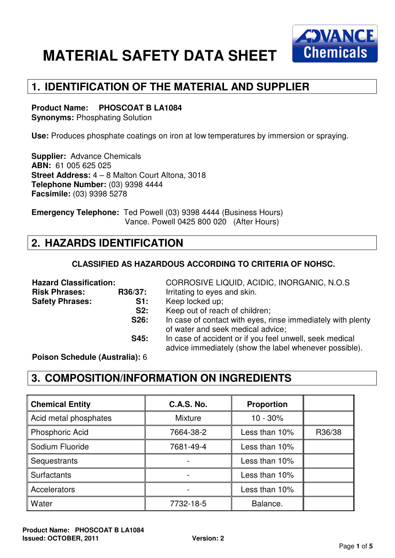

## **1. IDENTIFICATION OF THE MATERIAL AND SUPPLIER**

#### **Product Name: PHOSCOAT B LA1084**

**Synonyms:** Phosphating Solution

**Use:** Produces phosphate coatings on iron at low temperatures by immersion or spraying.

**Supplier:** Advance Chemicals **ABN:** 61 005 625 025 **Street Address:** 4 – 8 Malton Court Altona, 3018 **Telephone Number:** (03) 9398 4444 **Facsimile:** (03) 9398 5278

**Emergency Telephone:** Ted Powell (03) 9398 4444 (Business Hours) Vance. Powell 0425 800 020 (After Hours)

### **2. HAZARDS IDENTIFICATION**

#### **CLASSIFIED AS HAZARDOUS ACCORDING TO CRITERIA OF NOHSC.**

| <b>Hazard Classification:</b> |         | CORROSIVE LIQUID, ACIDIC, INORGANIC, N.O.S.                                                                       |  |  |
|-------------------------------|---------|-------------------------------------------------------------------------------------------------------------------|--|--|
| <b>Risk Phrases:</b>          | R36/37: | Irritating to eyes and skin.                                                                                      |  |  |
| <b>Safety Phrases:</b>        | S1:     | Keep locked up;                                                                                                   |  |  |
|                               | S2:     | Keep out of reach of children;                                                                                    |  |  |
|                               | S26:    | In case of contact with eyes, rinse immediately with plenty<br>of water and seek medical advice;                  |  |  |
|                               | S45:    | In case of accident or if you feel unwell, seek medical<br>advice immediately (show the label whenever possible). |  |  |

**Poison Schedule (Australia):** 6

#### **3. COMPOSITION/INFORMATION ON INGREDIENTS**

| <b>Chemical Entity</b> | <b>C.A.S. No.</b> | <b>Proportion</b> |        |
|------------------------|-------------------|-------------------|--------|
| Acid metal phosphates  | <b>Mixture</b>    | $10 - 30\%$       |        |
| Phosphoric Acid        | 7664-38-2         | Less than 10%     | R36/38 |
| Sodium Fluoride        | 7681-49-4         | Less than 10%     |        |
| Sequestrants           |                   | Less than 10%     |        |
| <b>Surfactants</b>     |                   | Less than 10%     |        |
| Accelerators           |                   | Less than 10%     |        |
| Water                  | 7732-18-5         | Balance.          |        |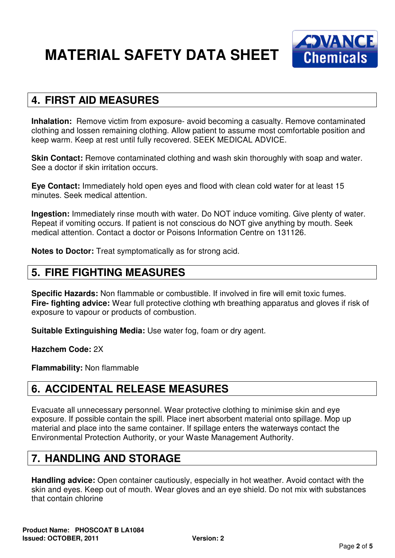

#### **4. FIRST AID MEASURES**

**Inhalation:** Remove victim from exposure- avoid becoming a casualty. Remove contaminated clothing and lossen remaining clothing. Allow patient to assume most comfortable position and keep warm. Keep at rest until fully recovered. SEEK MEDICAL ADVICE.

**Skin Contact:** Remove contaminated clothing and wash skin thoroughly with soap and water. See a doctor if skin irritation occurs.

**Eye Contact:** Immediately hold open eyes and flood with clean cold water for at least 15 minutes. Seek medical attention.

**Ingestion:** Immediately rinse mouth with water. Do NOT induce vomiting. Give plenty of water. Repeat if vomiting occurs. If patient is not conscious do NOT give anything by mouth. Seek medical attention. Contact a doctor or Poisons Information Centre on 131126.

**Notes to Doctor:** Treat symptomatically as for strong acid.

#### **5. FIRE FIGHTING MEASURES**

**Specific Hazards:** Non flammable or combustible. If involved in fire will emit toxic fumes. **Fire- fighting advice:** Wear full protective clothing wth breathing apparatus and gloves if risk of exposure to vapour or products of combustion.

**Suitable Extinguishing Media:** Use water fog, foam or dry agent.

**Hazchem Code:** 2X

**Flammability:** Non flammable

### **6. ACCIDENTAL RELEASE MEASURES**

Evacuate all unnecessary personnel. Wear protective clothing to minimise skin and eye exposure. If possible contain the spill. Place inert absorbent material onto spillage. Mop up material and place into the same container. If spillage enters the waterways contact the Environmental Protection Authority, or your Waste Management Authority.

### **7. HANDLING AND STORAGE**

**Handling advice:** Open container cautiously, especially in hot weather. Avoid contact with the skin and eyes. Keep out of mouth. Wear gloves and an eye shield. Do not mix with substances that contain chlorine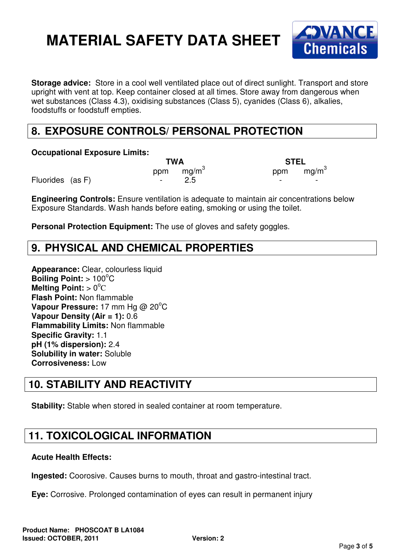

**Storage advice:** Store in a cool well ventilated place out of direct sunlight. Transport and store upright with vent at top. Keep container closed at all times. Store away from dangerous when wet substances (Class 4.3), oxidising substances (Class 5), cyanides (Class 6), alkalies, foodstuffs or foodstuff empties.

## **8. EXPOSURE CONTROLS/ PERSONAL PROTECTION**

**Occupational Exposure Limits:** 

 **TWA STEL**  ppm mg/m<sup>3</sup>

Fluorides (as F) Fluorides (as F) and the set of the set of the set of the set of the set of the set of the set of the set of the set of the set of the set of the set of the set of the set of the set of the set of the set

ppm  $mg/m<sup>3</sup>$ 

**Engineering Controls:** Ensure ventilation is adequate to maintain air concentrations below Exposure Standards. Wash hands before eating, smoking or using the toilet.

**Personal Protection Equipment:** The use of gloves and safety goggles.

### **9. PHYSICAL AND CHEMICAL PROPERTIES**

**Appearance:** Clear, colourless liquid **Boiling Point: > 100°C Melting Point: > 0°C Flash Point:** Non flammable **Vapour Pressure:** 17 mm Hg @ 20°C **Vapour Density (Air = 1):** 0.6 **Flammability Limits:** Non flammable **Specific Gravity:** 1.1 **pH (1% dispersion):** 2.4 **Solubility in water:** Soluble **Corrosiveness:** Low

### **10. STABILITY AND REACTIVITY**

**Stability:** Stable when stored in sealed container at room temperature.

### **11. TOXICOLOGICAL INFORMATION**

#### **Acute Health Effects:**

**Ingested:** Coorosive. Causes burns to mouth, throat and gastro-intestinal tract.

**Eye:** Corrosive. Prolonged contamination of eyes can result in permanent injury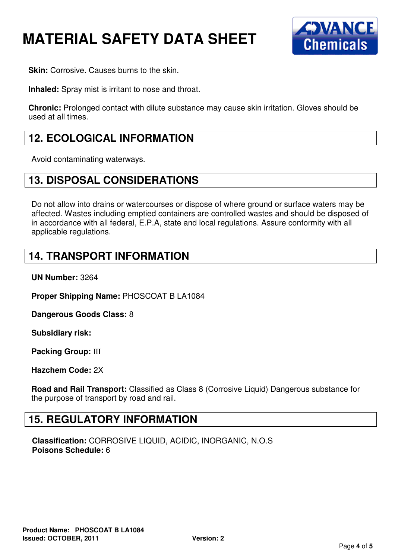

**Skin: Corrosive. Causes burns to the skin.** 

**Inhaled:** Spray mist is irritant to nose and throat.

**Chronic:** Prolonged contact with dilute substance may cause skin irritation. Gloves should be used at all times.

#### **12. ECOLOGICAL INFORMATION**

Avoid contaminating waterways.

#### **13. DISPOSAL CONSIDERATIONS**

Do not allow into drains or watercourses or dispose of where ground or surface waters may be affected. Wastes including emptied containers are controlled wastes and should be disposed of in accordance with all federal, E.P.A, state and local regulations. Assure conformity with all applicable regulations.

#### **14. TRANSPORT INFORMATION**

**UN Number:** 3264

**Proper Shipping Name:** PHOSCOAT B LA1084

**Dangerous Goods Class:** 8

**Subsidiary risk:** 

**Packing Group:** III

**Hazchem Code:** 2X

**Road and Rail Transport:** Classified as Class 8 (Corrosive Liquid) Dangerous substance for the purpose of transport by road and rail.

#### **15. REGULATORY INFORMATION**

**Classification:** CORROSIVE LIQUID, ACIDIC, INORGANIC, N.O.S **Poisons Schedule:** 6